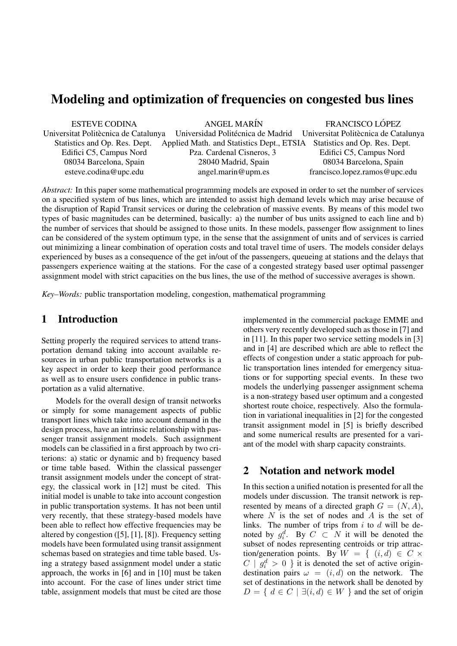# Modeling and optimization of frequencies on congested bus lines

| <b>ESTEVE CODINA</b>          | ANGEL MARÍN                                                                                                 | FRANCISCO LÓPEZ               |
|-------------------------------|-------------------------------------------------------------------------------------------------------------|-------------------------------|
|                               | Universitat Politècnica de Catalunya Universidad Politécnica de Madrid Universitat Politècnica de Catalunya |                               |
| Statistics and Op. Res. Dept. | Applied Math. and Statistics Dept., ETSIA Statistics and Op. Res. Dept.                                     |                               |
| Edifici C5, Campus Nord       | Pza. Cardenal Cisneros, 3                                                                                   | Edifici C5, Campus Nord       |
| 08034 Barcelona, Spain        | 28040 Madrid, Spain                                                                                         | 08034 Barcelona, Spain        |
| esteve.codina@upc.edu         | angel.marin@upm.es                                                                                          | francisco.lopez.ramos@upc.edu |

*Abstract:* In this paper some mathematical programming models are exposed in order to set the number of services on a specified system of bus lines, which are intended to assist high demand levels which may arise because of the disruption of Rapid Transit services or during the celebration of massive events. By means of this model two types of basic magnitudes can be determined, basically: a) the number of bus units assigned to each line and b) the number of services that should be assigned to those units. In these models, passenger flow assignment to lines can be considered of the system optimum type, in the sense that the assignment of units and of services is carried out minimizing a linear combination of operation costs and total travel time of users. The models consider delays experienced by buses as a consequence of the get in/out of the passengers, queueing at stations and the delays that passengers experience waiting at the stations. For the case of a congested strategy based user optimal passenger assignment model with strict capacities on the bus lines, the use of the method of successive averages is shown.

*Key–Words:* public transportation modeling, congestion, mathematical programming

# 1 Introduction

Setting properly the required services to attend transportation demand taking into account available resources in urban public transportation networks is a key aspect in order to keep their good performance as well as to ensure users confidence in public transportation as a valid alternative.

Models for the overall design of transit networks or simply for some management aspects of public transport lines which take into account demand in the design process, have an intrinsic relationship with passenger transit assignment models. Such assignment models can be classified in a first approach by two criterions: a) static or dynamic and b) frequency based or time table based. Within the classical passenger transit assignment models under the concept of strategy, the classical work in [12] must be cited. This initial model is unable to take into account congestion in public transportation systems. It has not been until very recently, that these strategy-based models have been able to reflect how effective frequencies may be altered by congestion ([5], [1], [8]). Frequency setting models have been formulated using transit assignment schemas based on strategies and time table based. Using a strategy based assignment model under a static approach, the works in [6] and in [10] must be taken into account. For the case of lines under strict time table, assignment models that must be cited are those

implemented in the commercial package EMME and others very recently developed such as those in [7] and in [11]. In this paper two service setting models in [3] and in [4] are described which are able to reflect the effects of congestion under a static approach for public transportation lines intended for emergency situations or for supporting special events. In these two models the underlying passenger assignment schema is a non-strategy based user optimum and a congested shortest route choice, respectively. Also the formulation in variational inequalities in [2] for the congested transit assignment model in [5] is briefly described and some numerical results are presented for a variant of the model with sharp capacity constraints.

# 2 Notation and network model

In this section a unified notation is presented for all the models under discussion. The transit network is represented by means of a directed graph  $G = (N, A)$ , where  $N$  is the set of nodes and  $A$  is the set of links. The number of trips from  $i$  to  $d$  will be denoted by  $g_i^d$ . By  $C \subset N$  it will be denoted the subset of nodes representing centroids or trip attraction/generation points. By  $W = \{ (i, d) \in C \times$  $C \mid g_i^d > 0$  } it is denoted the set of active origindestination pairs  $\omega = (i, d)$  on the network. The set of destinations in the network shall be denoted by  $D = \{ d \in C \mid \exists (i, d) \in W \}$  and the set of origin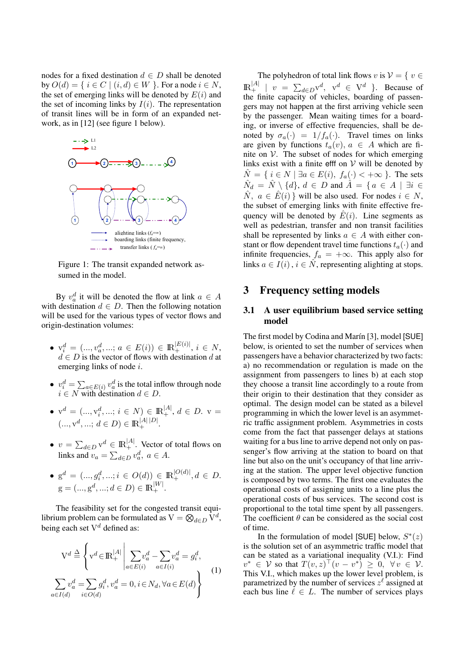nodes for a fixed destination  $d \in D$  shall be denoted by  $O(d) = \{ i \in C \mid (i, d) \in W \}$ . For a node  $i \in N$ , the set of emerging links will be denoted by  $E(i)$  and the set of incoming links by  $I(i)$ . The representation of transit lines will be in form of an expanded network, as in [12] (see figure 1 below).



Figure 1: The transit expanded network assumed in the model.

By  $v_a^d$  it will be denoted the flow at link  $a \in A$ with destination  $d \in D$ . Then the following notation will be used for the various types of vector flows and origin-destination volumes:

- $\bullet \ \ {\rm v}^d_i \ = \ (...,v^d_a,...;\,a \ \in \ E(i)) \ \in \ {\rm I\!R}_+^{\vert E(i) \vert},\, i \ \in \ N,$  $d \in D$  is the vector of flows with destination d at emerging links of node i.
- $v_i^d = \sum$  $_{a\in E(i)}v_a^d$  is the total inflow through node  $i \in N$  with destination  $d \in D$ .
- $v^d = (..., v_i^d, ...; i \in N) \in \mathbb{R}_+^{|A|}, d \in D. v =$  $(..., v^d, ...; d \in D) \in \mathbb{R}^{|A| |D|}_+$ .
- $v = \sum_{d \in D} v^d \in \mathbb{R}^{|A|}_+$ . Vector of total flows on links and  $v_a = \sum_{d \in D} v_a^d$ ,  $a \in A$ .

• 
$$
g^d = (..., g_i^d, ..., i \in O(d)) \in \mathbb{R}_+^{|O(d)|}, d \in D.
$$
  
 $g = (..., g^d, ..., d \in D) \in \mathbb{R}_+^{|W|}.$ 

The feasibility set for the congested transit equi-The reasonity set for the congested transit equilibrium problem can be formulated as  $V = \bigotimes_{d \in D} V^d$ , being each set  $V^d$  defined as:

$$
\mathbf{V}^d \stackrel{\Delta}{=} \left\{ \mathbf{v}^d \in \mathbb{R}_+^{|A|} \middle| \sum_{a \in E(i)} v_a^d - \sum_{a \in I(i)} v_a^d = g_i^d, \\ \sum_{a \in I(d)} v_a^d = \sum_{i \in O(d)} g_i^d, v_a^d = 0, i \in N_d, \forall a \in E(d) \right\}
$$
(1)

The polyhedron of total link flows v is  $V = \{ v \in$  $\mathbb{R}^{|A|}$  |  $v = \sum_{d \in D} v^d$ ,  $v^d \in V^d$  }. Because of the finite capacity of vehicles, boarding of passengers may not happen at the first arriving vehicle seen by the passenger. Mean waiting times for a boarding, or inverse of effective frequencies, shall be denoted by  $\sigma_a(\cdot) = 1/f_a(\cdot)$ . Travel times on links are given by functions  $t_a(v)$ ,  $a \in A$  which are finite on  $V$ . The subset of nodes for which emerging links exist with a finite efff on  $V$  will be denoted by  $N = \{ i \in N \mid \exists a \in E(i), f_a(\cdot) < +\infty \}$ . The sets  $\hat{N}_d = \hat{N} \setminus \{d\}, d \in D$  and  $\hat{A} = \{a \in A \mid \exists i \in$  $\hat{N}, a \in \hat{E}(i)$  will be also used. For nodes  $i \in N$ , the subset of emerging links with finite effective frequency will be denoted by  $\hat{E}(i)$ . Line segments as well as pedestrian, transfer and non transit facilities shall be represented by links  $a \in A$  with either constant or flow dependent travel time functions  $t_a(\cdot)$  and infinite frequencies,  $f_a = +\infty$ . This apply also for links  $a \in I(i)$ ,  $i \in \tilde{N}$ , representing alighting at stops.

### 3 Frequency setting models

### 3.1 A user equilibrium based service setting model

The first model by Codina and Marín [3], model [SUE] below, is oriented to set the number of services when passengers have a behavior characterized by two facts: a) no recommendation or regulation is made on the assignment from passengers to lines b) at each stop they choose a transit line accordingly to a route from their origin to their destination that they consider as optimal. The design model can be stated as a bilevel programming in which the lower level is an asymmetric traffic assignment problem. Asymmetries in costs come from the fact that passenger delays at stations waiting for a bus line to arrive depend not only on passenger's flow arriving at the station to board on that line but also on the unit's occupancy of that line arriving at the station. The upper level objective function is composed by two terms. The first one evaluates the operational costs of assigning units to a line plus the operational costs of bus services. The second cost is proportional to the total time spent by all passengers. The coefficient  $\theta$  can be considered as the social cost of time.

In the formulation of model [SUE] below,  $S^*(z)$ is the solution set of an asymmetric traffic model that can be stated as a variational inequality (V.I.): Find  $v^* \in \mathcal{V}$  so that  $T(v, z)^\top (v - v^*) \geq 0, \forall v \in \mathcal{V}$ . This V.I., which makes up the lower level problem, is parametrized by the number of services  $z^{\ell}$  assigned at each bus line  $\ell \in L$ . The number of services plays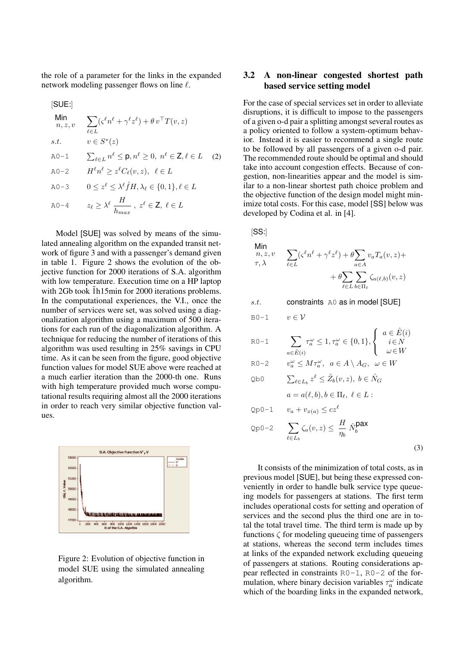the role of a parameter for the links in the expanded network modeling passenger flows on line  $\ell$ .

[SUE:  
\nMin  
\nn, z, v  
\n
$$
\sum_{\ell \in L} (s^{\ell} n^{\ell} + \gamma^{\ell} z^{\ell}) + \theta v^{\top} T(v, z)
$$
\ns.t.  $v \in S^*(z)$   
\nA0-1 
$$
\sum_{\ell \in L} n^{\ell} \leq \mathbf{p}, n^{\ell} \geq 0, n^{\ell} \in \mathbf{Z}, \ell \in L
$$
\nA0-2 
$$
H^{\ell} n^{\ell} \geq z^{\ell} C_{\ell}(v, z), \ell \in L
$$
\nA0-3 
$$
0 \leq z^{\ell} \leq \lambda^{\ell} \hat{f} H, \lambda_{\ell} \in \{0, 1\}, \ell \in L
$$
\nA0-4  $z_{\ell} \geq \lambda^{\ell} \frac{H}{h_{max}}, z^{\ell} \in \mathbf{Z}, \ell \in L$ 

Model [SUE] was solved by means of the simulated annealing algorithm on the expanded transit network of figure 3 and with a passenger's demand given in table 1. Figure 2 shows the evolution of the objective function for 2000 iterations of S.A. algorithm with low temperature. Execution time on a HP laptop with 2Gb took  $\tilde{1}h15$ min for 2000 iterations problems. In the computational experiences, the V.I., once the number of services were set, was solved using a diagonalization algorithm using a maximum of 500 iterations for each run of the diagonalization algorithm. A technique for reducing the number of iterations of this algorithm was used resulting in 25% savings in CPU time. As it can be seen from the figure, good objective function values for model SUE above were reached at a much earlier iteration than the 2000-th one. Runs with high temperature provided much worse computational results requiring almost all the 2000 iterations in order to reach very similar objective function values.



Figure 2: Evolution of objective function in model SUE using the simulated annealing algorithm.

### 3.2 A non-linear congested shortest path based service setting model

For the case of special services set in order to alleviate disruptions, it is difficult to impose to the passengers of a given o-d pair a splitting amongst several routes as a policy oriented to follow a system-optimum behavior. Instead it is easier to recommend a single route to be followed by all passengers of a given o-d pair. The recommended route should be optimal and should take into account congestion effects. Because of congestion, non-linearities appear and the model is similar to a non-linear shortest path choice problem and the objective function of the design model might minimize total costs. For this case, model [SS] below was developed by Codina et al. in [4].

 $[SS:]$  $\overline{N}$ 

Min  
\n
$$
n, z, v
$$
  
\n $\sum_{\ell \in L} (\varsigma^{\ell} n^{\ell} + \gamma^{\ell} z^{\ell}) + \theta \sum_{a \in A} v_a T_a(v, z) +$   
\n $+ \theta \sum_{\ell \in L} \sum_{b \in \Pi_{\ell}} \zeta_{a(\ell, b)}(v, z)$ 

 $s.t.$  constraints  $A0$  as in model [SUE]

B0-1 
$$
v \in V
$$
  
\nR0-1  $\sum_{a \in \hat{E}(i)} \tau_a^{\omega} \le 1, \tau_a^{\omega} \in \{0, 1\}, \begin{cases} a \in \hat{E}(i) \\ i \in N \\ \omega \in W \end{cases}$   
\nR0-2  $v_a^{\omega} \le M\tau_a^{\omega}, a \in A \setminus A_G, \omega \in W$   
\nQb0  $\sum_{\ell \in L_b} z^{\ell} \le \hat{Z}_b(v, z), b \in \hat{N}_G$   
\n $a = a(\ell, b), b \in \Pi_{\ell}, \ell \in L$ :  
\nQp0-1  $v_a + v_{x(a)} \le cz^{\ell}$   
\nQp0-2  $\sum_{\ell \in L_b} \zeta_a(v, z) \le \frac{H}{\eta_b} \hat{N}_b^{\mathbf{p} \mathbf{a} \mathbf{x}}$  (3)

It consists of the minimization of total costs, as in previous model [SUE], but being these expressed conveniently in order to handle bulk service type queueing models for passengers at stations. The first term includes operational costs for setting and operation of services and the second plus the third one are in total the total travel time. The third term is made up by functions  $\zeta$  for modeling queueing time of passengers at stations, whereas the second term includes times at links of the expanded network excluding queueing of passengers at stations. Routing considerations appear reflected in constraints R0-1, R0-2 of the formulation, where binary decision variables  $\tau_a^{\omega}$  indicate which of the boarding links in the expanded network,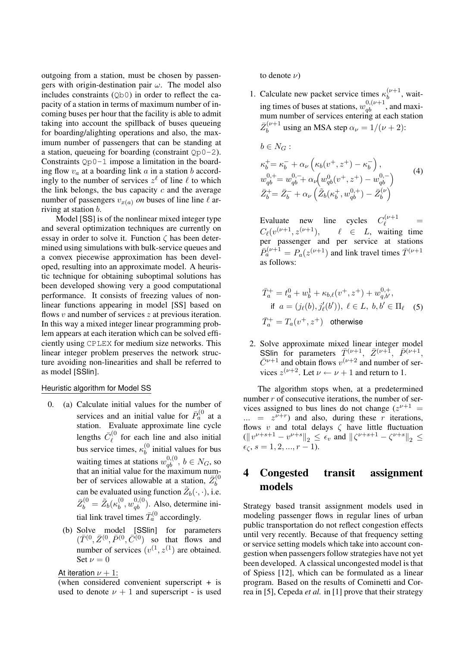outgoing from a station, must be chosen by passengers with origin-destination pair  $\omega$ . The model also includes constraints  $(Qb0)$  in order to reflect the capacity of a station in terms of maximum number of incoming buses per hour that the facility is able to admit taking into account the spillback of buses queueing for boarding/alighting operations and also, the maximum number of passengers that can be standing at a station, queueing for boarding (constraint  $Qp0-2$ ). Constraints  $Qp0-1$  impose a limitation in the boarding flow  $v_a$  at a boarding link  $a$  in a station  $b$  accordingly to the number of services  $z^{\ell}$  of line  $\ell$  to which the link belongs, the bus capacity  $c$  and the average number of passengers  $v_{x(a)}$  *on* buses of line line  $\ell$  arriving at station b.

Model [SS] is of the nonlinear mixed integer type and several optimization techniques are currently on essay in order to solve it. Function  $\zeta$  has been determined using simulations with bulk-service queues and a convex piecewise approximation has been developed, resulting into an approximate model. A heuristic technique for obtaining suboptimal solutions has been developed showing very a good computational performance. It consists of freezing values of nonlinear functions appearing in model [SS] based on flows  $v$  and number of services  $z$  at previous iteration. In this way a mixed integer linear programming problem appears at each iteration which can be solved efficiently using CPLEX for medium size networks. This linear integer problem preserves the network structure avoiding non-linearities and shall be referred to as model [SSlin].

#### Heuristic algorithm for Model SS

- 0. (a) Calculate initial values for the number of services and an initial value for  $\bar{P}_a^{(0)}$  at a station. Evaluate approximate line cycle lengths  $\bar{C}_{\ell}^{(0)}$  $\ell$ <sup>(0</sup> for each line and also initial bus service times,  $\kappa_h^{(0)}$  $b<sub>b</sub><sup>0</sup>$  initial values for bus waiting times at stations  $w_{qb}^{0,(0}, b \in N_G$ , so that an initial value for the maximum num-<br>har of corriers allowship at a station  $\bar{z}^{(0)}$ ber of services allowable at a station,  $\bar{Z}_b^{\leftarrow}$ can be evaluated using function  $\tilde{Z}_b(\cdot,\cdot)$ , i.e.  $\bar Z_b^{(0} = \tilde Z_b(\kappa_b^{(0}$  $b^{(0)}_b, w_{qb}^{0,(0)}$ . Also, determine initial link travel times  $\bar{T}^{(0)}_{a}$  accordingly.
	- (b) Solve model [SSlin] for parameters  $(\bar{T}^{(0)}, \bar{Z}^{(0)}, \bar{P}^{(0)}, \bar{C}^{(0)})$  so that flows and number of services  $(v^{(1)}, z^{(1)})$  are obtained. Set  $\nu = 0$

### At iteration  $\nu + 1$ :

(when considered convenient superscript + is used to denote  $\nu + 1$  and superscript - is used

to denote  $\nu$ )

1. Calculate new packet service times  $\kappa_h^{(\nu+1)}$  $b^{(\nu+1)}$ , waiting times of buses at stations,  $w_{qb}^{0, (\nu+1)}$ , and maximum number of services entering at each station  $\bar Z_{b}^{(\nu+1)}$  $b_b^{(\nu+1)}$  using an MSA step  $\alpha_{\nu} = 1/(\nu+2)$ :

$$
b \in N_G : \n\kappa_b^+ = \kappa_b^- + \alpha_\nu \left( \kappa_b(v^+, z^+) - \kappa_b^- \right), \nw_{qb}^{0,+} = w_{qb}^{0,-} + \alpha_\nu \left( w_{qb}^0(v^+, z^+) - w_{qb}^{0,-} \right) \n\bar{Z}_b^+ = \bar{Z}_b^- + \alpha_\nu \left( \tilde{Z}_b(\kappa_b^+, w_{qb}^{0,+}) - \bar{Z}_b^{(\nu)} \right)
$$
\n(4)

Evaluate new line cycles  $C_{\ell}^{(\nu+1)}$  $\int_{\ell}^{(\nu+1)}$  =  $C_{\ell}(v^{(\nu+1}, z^{(\nu+1)}), \qquad \ell \in L$ , waiting time per passenger and per service at stations  $\bar{P}_a^{(\nu+1)} = P_a(z^{(\nu+1)})$  and link travel times  $\bar{T}^{(\nu+1)}$ as follows:

$$
\begin{aligned}\n\bar{T}_a^+ &= t_a^0 + w_b^1 + \kappa_{b,\ell}(v^+, z^+) + w_{q,b'}^{0,+}, \\
\text{if } a &= (j_\ell(b), j'_\ell(b')), \ \ell \in L, \ b, b' \in \Pi_\ell \quad (5) \\
\bar{T}_a^+ &= T_a(v^+, z^+) \quad \text{otherwise}\n\end{aligned}
$$

2. Solve approximate mixed linear integer model SSIin for parameters  $\overline{T}^{(\nu+1)}$ ,  $\overline{Z}^{(\nu+1)}$ ,  $\overline{P}^{(\nu+1)}$ ,  $\bar{C}^{\nu+1}$  and obtain flows  $v^{(\nu+2)}$  and number of services  $z^{(\nu+2)}$ . Let  $\nu \leftarrow \nu + 1$  and return to 1.

The algorithm stops when, at a predetermined number  $r$  of consecutive iterations, the number of services assigned to bus lines do not change  $(z^{\nu+1}$  =  $\ldots$  =  $z^{\nu+r}$  and also, during these r iterations, flows v and total delays  $\zeta$  have little fluctuation  $\|v^{\nu+s+1} - v^{\nu+s}\|_2 \leq \epsilon_v$  and  $\|\zeta^{\nu+s+1} - \zeta^{\nu+s}\|_2 \leq$  $\epsilon_{\zeta}, s = 1, 2, ..., r-1$ ).

# 4 Congested transit assignment models

Strategy based transit assignment models used in modeling passenger flows in regular lines of urban public transportation do not reflect congestion effects until very recently. Because of that frequency setting or service setting models which take into account congestion when passengers follow strategies have not yet been developed. A classical uncongested model is that of Spiess [12], which can be formulated as a linear program. Based on the results of Cominetti and Correa in [5], Cepeda *et al.* in [1] prove that their strategy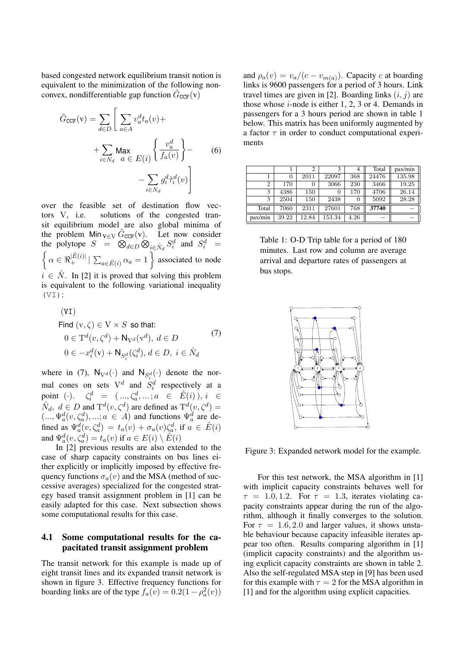based congested network equilibrium transit notion is equivalent to the minimization of the following nonconvex, nondifferentiable gap function  $\tilde{G}_{\text{CCF}}(v)$ 

$$
\tilde{G}_{\text{CCF}}(v) = \sum_{d \in D} \left[ \sum_{a \in A} v_a^d t_a(v) + \right. \\
\left. + \sum_{i \in N_d} \text{Max}_{a} \in E(i) \left\{ \frac{v_a^d}{f_a(v)} \right\} - \sum_{i \in N_d} g_i^d \tilde{\tau}_i^d(v) \right]
$$
\n(6)

over the feasible set of destination flow vectors V, i.e. solutions of the congested transit equilibrium model are also global minima of the problem Min  $_{V \in V}$   $\tilde{G}_{CCF}(v)$ . Let now consider the polytope  $S = \otimes$ d∈D  $\frac{1}{2}$ the polytope  $S = \bigotimes_{d \in D} \bigotimes_{i \in \hat{N}_d} S_i^d$  and  $S_i^d =$  $\alpha \in \Re_{+}^{|\hat{E}(i)|} | \sum$  $\bigotimes_{d \in D} \bigotimes_{i \in N_d} \bigotimes_i$  and  $\bigotimes_i$ <br>  $a \in \hat{E}(i)$   $\alpha_a = 1$  associated to node  $i \in \hat{N}$ . In [2] it is proved that solving this problem is equivalent to the following variational inequality  $(VI)$ :

$$
(VI)
$$
  
Find  $(v, \zeta) \in V \times S$  so that:  

$$
0 \in T^{d}(v, \zeta^{d}) + N_{V^{d}}(v^{d}), d \in D
$$

$$
0 \in -x_{i}^{d}(v) + N_{S_{i}^{d}}(\zeta_{i}^{d}), d \in D, i \in \hat{N}_{d}
$$
 (7)

where in (7),  $N_{V^d}(\cdot)$  and  $N_{S^d}(\cdot)$  denote the normal cones on sets  $V^d$  and  $S_i^d$  respectively at a point (·).  $\zeta_i^d = (\dots, \zeta_a^d, \dots; a \in \hat{E}(i)), i \in$  $\hat{N}_d$ ,  $d \in D$  and  $T^d(v, \zeta^d)$  are defined as  $T^d(v, \zeta^d)$  =  $(\ldots, \Psi_a^d(v, \zeta_a^d), \ldots; a \in A)$  and functions  $\Psi_a^d$  are defined as  $\Psi_a^d(v, \zeta_a^d) = t_a(v) + \sigma_a(v)\zeta_a^d$ , if  $a \in \hat{E}(i)$ and  $\Psi_a^d(v,\zeta_a^d) = t_a(v)$  if  $a \in E(i) \setminus \hat{E}(i)$ 

In [2] previous results are also extended to the case of sharp capacity constraints on bus lines either explicitly or implicitly imposed by effective frequency functions  $\sigma_a(v)$  and the MSA (method of successive averages) specialized for the congested strategy based transit assignment problem in [1] can be easily adapted for this case. Next subsection shows some computational results for this case.

### 4.1 Some computational results for the capacitated transit assignment problem

The transit network for this example is made up of eight transit lines and its expanded transit network is shown in figure 3. Effective frequency functions for boarding links are of the type  $f_a(v) = 0.2(1 - \rho_a^2(v))$ 

and  $\rho_a(v) = v_a/(c - v_{m(a)})$ . Capacity c at boarding links is 9600 passengers for a period of 3 hours. Link travel times are given in [2]. Boarding links  $(i, j)$  are those whose  $i$ -node is either 1, 2, 3 or 4. Demands in passengers for a 3 hours period are shown in table 1 below. This matrix has been uniformly augmented by a factor  $\tau$  in order to conduct computational experiments

|         |       | 2     |        | 4    | Total | pax/min |
|---------|-------|-------|--------|------|-------|---------|
|         | 0     | 2011  | 22097  | 368  | 24476 | 135.98  |
| 2       | 170   | 0     | 3066   | 230  | 3466  | 19.25   |
| 3       | 4386  | 150   | 0      | 170  | 4706  | 26.14   |
| 3       | 2504  | 150   | 2438   | 0    | 5092  | 28.28   |
| Total   | 7060  | 2311  | 27601  | 768  | 37740 |         |
| pax/min | 39.22 | 12.84 | 153.34 | 4.26 |       |         |

Table 1: O-D Trip table for a period of 180 minutes. Last row and column are average arrival and departure rates of passengers at bus stops.



Figure 3: Expanded network model for the example.

For this test network, the MSA algorithm in [1] with implicit capacity constraints behaves well for  $\tau = 1.0, 1.2$ . For  $\tau = 1.3$ , iterates violating capacity constraints appear during the run of the algorithm, although it finally converges to the solution. For  $\tau = 1.6, 2.0$  and larger values, it shows unstable behaviour because capacity infeasible iterates appear too often. Results comparing algorithm in [1] (implicit capacity constraints) and the algorithm using explicit capacity constraints are shown in table 2. Also the self-regulated MSA step in [9] has been used for this example with  $\tau = 2$  for the MSA algorithm in [1] and for the algorithm using explicit capacities.